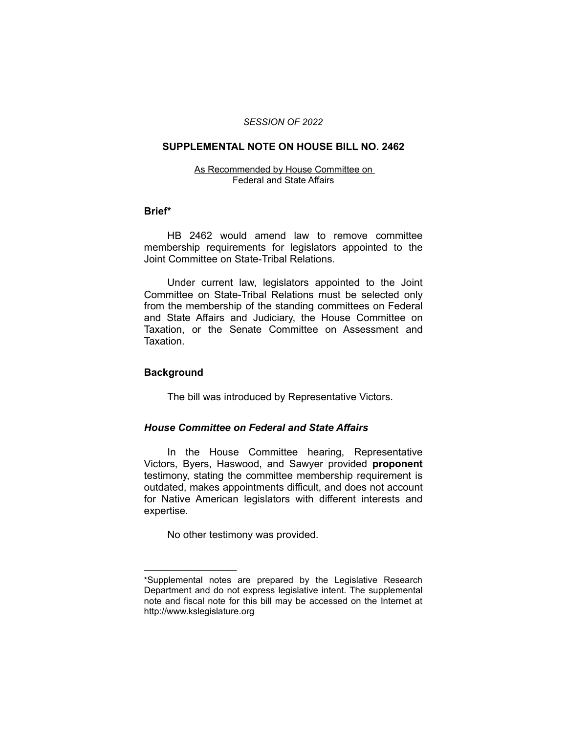#### *SESSION OF 2022*

## **SUPPLEMENTAL NOTE ON HOUSE BILL NO. 2462**

#### As Recommended by House Committee on Federal and State Affairs

## **Brief\***

HB 2462 would amend law to remove committee membership requirements for legislators appointed to the Joint Committee on State-Tribal Relations.

Under current law, legislators appointed to the Joint Committee on State-Tribal Relations must be selected only from the membership of the standing committees on Federal and State Affairs and Judiciary, the House Committee on Taxation, or the Senate Committee on Assessment and Taxation.

# **Background**

 $\overline{\phantom{a}}$  , where  $\overline{\phantom{a}}$ 

The bill was introduced by Representative Victors.

# *House Committee on Federal and State Affairs*

In the House Committee hearing, Representative Victors, Byers, Haswood, and Sawyer provided **proponent** testimony, stating the committee membership requirement is outdated, makes appointments difficult, and does not account for Native American legislators with different interests and expertise.

No other testimony was provided.

<sup>\*</sup>Supplemental notes are prepared by the Legislative Research Department and do not express legislative intent. The supplemental note and fiscal note for this bill may be accessed on the Internet at http://www.kslegislature.org